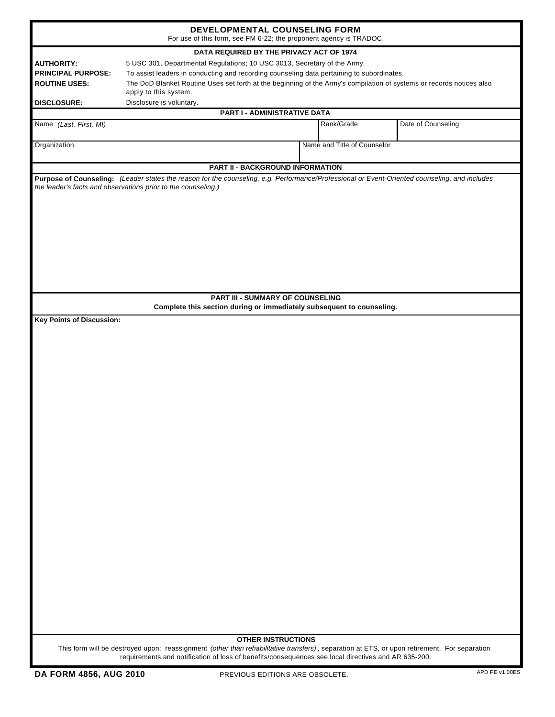| DEVELOPMENTAL COUNSELING FORM<br>For use of this form, see FM 6-22; the proponent agency is TRADOC.<br>DATA REQUIRED BY THE PRIVACY ACT OF 1974 |                                                                                                                                                                                                                                                    |                             |                    |  |  |                   |
|-------------------------------------------------------------------------------------------------------------------------------------------------|----------------------------------------------------------------------------------------------------------------------------------------------------------------------------------------------------------------------------------------------------|-----------------------------|--------------------|--|--|-------------------|
|                                                                                                                                                 |                                                                                                                                                                                                                                                    |                             |                    |  |  | <b>AUTHORITY:</b> |
| <b>PRINCIPAL PURPOSE:</b>                                                                                                                       | To assist leaders in conducting and recording counseling data pertaining to subordinates.                                                                                                                                                          |                             |                    |  |  |                   |
| <b>ROUTINE USES:</b>                                                                                                                            | The DoD Blanket Routine Uses set forth at the beginning of the Army's compilation of systems or records notices also                                                                                                                               |                             |                    |  |  |                   |
|                                                                                                                                                 | apply to this system.                                                                                                                                                                                                                              |                             |                    |  |  |                   |
| Disclosure is voluntary.<br><b>DISCLOSURE:</b>                                                                                                  |                                                                                                                                                                                                                                                    |                             |                    |  |  |                   |
| PART I - ADMINISTRATIVE DATA                                                                                                                    |                                                                                                                                                                                                                                                    |                             |                    |  |  |                   |
| Name (Last, First, MI)                                                                                                                          |                                                                                                                                                                                                                                                    | Rank/Grade                  | Date of Counseling |  |  |                   |
| Organization                                                                                                                                    |                                                                                                                                                                                                                                                    | Name and Title of Counselor |                    |  |  |                   |
|                                                                                                                                                 | <b>PART II - BACKGROUND INFORMATION</b>                                                                                                                                                                                                            |                             |                    |  |  |                   |
|                                                                                                                                                 | Purpose of Counseling: (Leader states the reason for the counseling, e.g. Performance/Professional or Event-Oriented counseling, and includes<br>the leader's facts and observations prior to the counseling.)                                     |                             |                    |  |  |                   |
|                                                                                                                                                 | <b>PART III - SUMMARY OF COUNSELING</b>                                                                                                                                                                                                            |                             |                    |  |  |                   |
|                                                                                                                                                 | Complete this section during or immediately subsequent to counseling.                                                                                                                                                                              |                             |                    |  |  |                   |
| <b>Key Points of Discussion:</b>                                                                                                                |                                                                                                                                                                                                                                                    |                             |                    |  |  |                   |
|                                                                                                                                                 |                                                                                                                                                                                                                                                    |                             |                    |  |  |                   |
|                                                                                                                                                 | <b>OTHER INSTRUCTIONS</b>                                                                                                                                                                                                                          |                             |                    |  |  |                   |
|                                                                                                                                                 | This form will be destroyed upon: reassignment (other than rehabilitative transfers), separation at ETS, or upon retirement. For separation<br>requirements and notification of loss of benefits/consequences see local directives and AR 635-200. |                             |                    |  |  |                   |